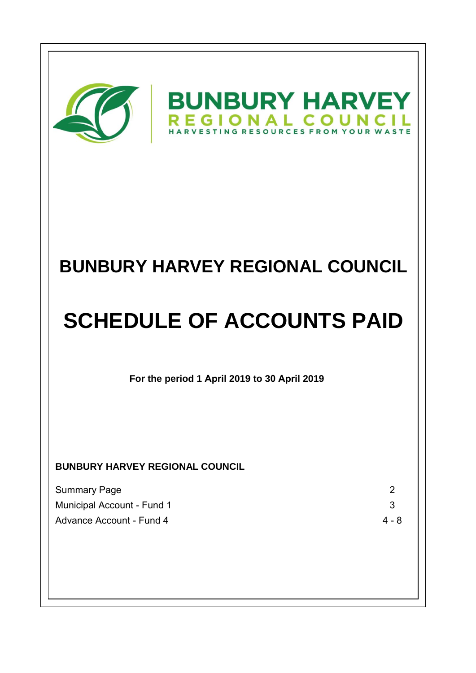



## **BUNBURY HARVEY REGIONAL COUNCIL**

# **SCHEDULE OF ACCOUNTS PAID**

**For the period 1 April 2019 to 30 April 2019**

 **BUNBURY HARVEY REGIONAL COUNCIL**

 Summary Page 2 Municipal Account - Fund 1 3 Advance Account - Fund 4 4 - 8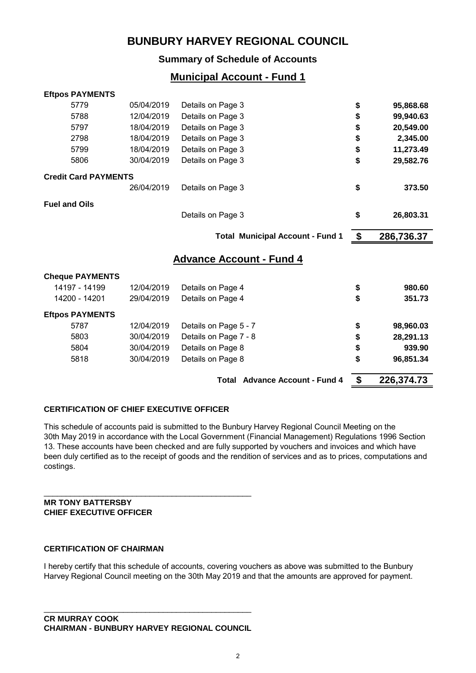## **BUNBURY HARVEY REGIONAL COUNCIL**

## **Summary of Schedule of Accounts**

## **Municipal Account - Fund 1**

#### **Eftpos PAYMENTS**

| 5779                        | 05/04/2019 | Details on Page 3                       | \$            | 95,868.68  |
|-----------------------------|------------|-----------------------------------------|---------------|------------|
| 5788                        | 12/04/2019 | Details on Page 3                       | \$            | 99,940.63  |
| 5797                        | 18/04/2019 | Details on Page 3                       | \$            | 20,549.00  |
| 2798                        | 18/04/2019 | Details on Page 3                       | \$            | 2,345.00   |
| 5799                        | 18/04/2019 | Details on Page 3                       | \$            | 11,273.49  |
| 5806                        | 30/04/2019 | Details on Page 3                       | \$            | 29,582.76  |
| <b>Credit Card PAYMENTS</b> |            |                                         |               |            |
|                             | 26/04/2019 | Details on Page 3                       | \$            | 373.50     |
| <b>Fuel and Oils</b>        |            |                                         |               |            |
|                             |            | Details on Page 3                       | \$            | 26,803.31  |
|                             |            | <b>Total Municipal Account - Fund 1</b> | $\frac{1}{2}$ | 286,736.37 |
|                             |            | <u> Advance Account - Fund 4</u>        |               |            |
| <b>Cheque PAYMENTS</b>      |            |                                         |               |            |
| 14197 - 14199               | 12/04/2019 | Details on Page 4                       | \$            | 980.60     |
| 14200 - 14201               | 29/04/2019 | Details on Page 4                       | \$            | 351.73     |
| <b>Eftpos PAYMENTS</b>      |            |                                         |               |            |
| 5787                        | 12/04/2019 | Details on Page 5 - 7                   | \$            | 98,960.03  |
| 5803                        | 30/04/2019 | Details on Page 7 - 8                   | \$            | 28,291.13  |
| 5804                        | 30/04/2019 | Details on Page 8                       | \$            | 939.90     |
| 5818                        | 30/04/2019 | Details on Page 8                       | \$            | 96,851.34  |
|                             |            | <b>Total Advance Account - Fund 4</b>   | \$            | 226,374.73 |

### **CERTIFICATION OF CHIEF EXECUTIVE OFFICER**

This schedule of accounts paid is submitted to the Bunbury Harvey Regional Council Meeting on the 30th May 2019 in accordance with the Local Government (Financial Management) Regulations 1996 Section 13. These accounts have been checked and are fully supported by vouchers and invoices and which have been duly certified as to the receipt of goods and the rendition of services and as to prices, computations and costings.

#### **MR TONY BATTERSBY CHIEF EXECUTIVE OFFICER**

### **CERTIFICATION OF CHAIRMAN**

I hereby certify that this schedule of accounts, covering vouchers as above was submitted to the Bunbury Harvey Regional Council meeting on the 30th May 2019 and that the amounts are approved for payment.

\_\_\_\_\_\_\_\_\_\_\_\_\_\_\_\_\_\_\_\_\_\_\_\_\_\_\_\_\_\_\_\_\_\_\_\_\_\_\_\_\_\_\_\_\_\_\_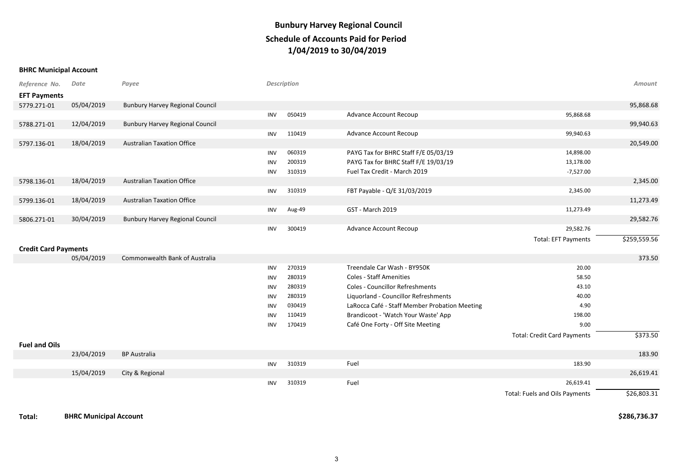#### **BHRC Municipal Account**

| Reference No.               | Date       | Payee                                  |            | <b>Description</b> |                                               |                                    | Amount       |
|-----------------------------|------------|----------------------------------------|------------|--------------------|-----------------------------------------------|------------------------------------|--------------|
| <b>EFT Payments</b>         |            |                                        |            |                    |                                               |                                    |              |
| 5779.271-01                 | 05/04/2019 | <b>Bunbury Harvey Regional Council</b> |            |                    |                                               |                                    | 95,868.68    |
|                             |            |                                        | INV        | 050419             | Advance Account Recoup                        | 95,868.68                          |              |
| 5788.271-01                 | 12/04/2019 | <b>Bunbury Harvey Regional Council</b> |            |                    |                                               |                                    | 99,940.63    |
|                             |            |                                        | <b>INV</b> | 110419             | Advance Account Recoup                        | 99,940.63                          |              |
| 5797.136-01                 | 18/04/2019 | <b>Australian Taxation Office</b>      |            |                    |                                               |                                    | 20,549.00    |
|                             |            |                                        | INV        | 060319             | PAYG Tax for BHRC Staff F/E 05/03/19          | 14,898.00                          |              |
|                             |            |                                        | INV        | 200319             | PAYG Tax for BHRC Staff F/E 19/03/19          | 13,178.00                          |              |
|                             |            |                                        | INV        | 310319             | Fuel Tax Credit - March 2019                  | $-7,527.00$                        |              |
| 5798.136-01                 | 18/04/2019 | <b>Australian Taxation Office</b>      |            |                    |                                               |                                    | 2,345.00     |
|                             |            |                                        | <b>INV</b> | 310319             | FBT Payable - Q/E 31/03/2019                  | 2,345.00                           |              |
| 5799.136-01                 | 18/04/2019 | <b>Australian Taxation Office</b>      |            |                    |                                               |                                    | 11,273.49    |
|                             |            |                                        | <b>INV</b> | Aug-49             | GST - March 2019                              | 11,273.49                          |              |
| 5806.271-01                 | 30/04/2019 | <b>Bunbury Harvey Regional Council</b> |            |                    |                                               |                                    | 29,582.76    |
|                             |            |                                        | <b>INV</b> | 300419             | <b>Advance Account Recoup</b>                 | 29,582.76                          |              |
|                             |            |                                        |            |                    |                                               | <b>Total: EFT Payments</b>         | \$259,559.56 |
| <b>Credit Card Payments</b> |            |                                        |            |                    |                                               |                                    |              |
|                             | 05/04/2019 | Commonwealth Bank of Australia         |            |                    |                                               |                                    | 373.50       |
|                             |            |                                        | INV        | 270319             | Treendale Car Wash - BY950K                   | 20.00                              |              |
|                             |            |                                        | INV        | 280319             | <b>Coles - Staff Amenities</b>                | 58.50                              |              |
|                             |            |                                        | INV        | 280319             | <b>Coles - Councillor Refreshments</b>        | 43.10                              |              |
|                             |            |                                        | INV        | 280319             | Liquorland - Councillor Refreshments          | 40.00                              |              |
|                             |            |                                        | <b>INV</b> | 030419             | LaRocca Café - Staff Member Probation Meeting | 4.90                               |              |
|                             |            |                                        | <b>INV</b> | 110419             | Brandicoot - 'Watch Your Waste' App           | 198.00                             |              |
|                             |            |                                        | <b>INV</b> | 170419             | Café One Forty - Off Site Meeting             | 9.00                               |              |
|                             |            |                                        |            |                    |                                               | <b>Total: Credit Card Payments</b> | \$373.50     |
| <b>Fuel and Oils</b>        |            |                                        |            |                    |                                               |                                    |              |
|                             | 23/04/2019 | <b>BP</b> Australia                    |            |                    |                                               |                                    | 183.90       |
|                             |            |                                        | <b>INV</b> | 310319             | Fuel                                          | 183.90                             |              |
|                             | 15/04/2019 | City & Regional                        |            |                    |                                               |                                    | 26,619.41    |
|                             |            |                                        | INV        | 310319             | Fuel                                          | 26,619.41                          |              |
|                             |            |                                        |            |                    |                                               | Total: Fuels and Oils Payments     | \$26,803.31  |
|                             |            |                                        |            |                    |                                               |                                    |              |

**Total: BHRC Municipal Account \$286,736.37**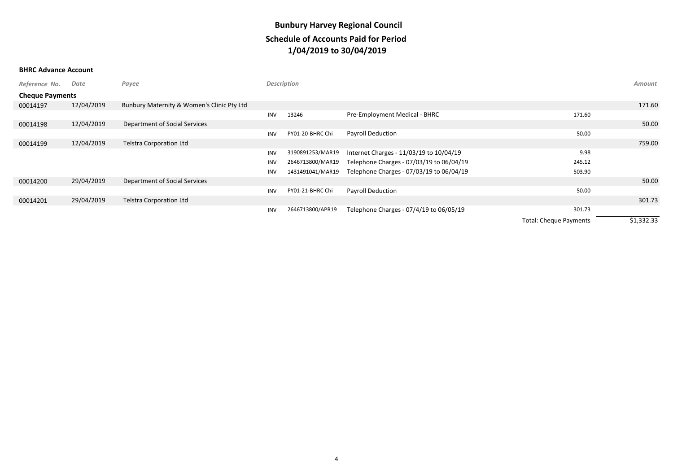| Reference No.          | Date       | Payee                                      |            | <b>Description</b> |                                          |                               |            |  |
|------------------------|------------|--------------------------------------------|------------|--------------------|------------------------------------------|-------------------------------|------------|--|
| <b>Cheque Payments</b> |            |                                            |            |                    |                                          |                               |            |  |
| 00014197               | 12/04/2019 | Bunbury Maternity & Women's Clinic Pty Ltd |            |                    |                                          |                               | 171.60     |  |
|                        |            |                                            | <b>INV</b> | 13246              | Pre-Employment Medical - BHRC            | 171.60                        |            |  |
| 00014198               | 12/04/2019 | Department of Social Services              |            |                    |                                          |                               | 50.00      |  |
|                        |            |                                            | INV        | PY01-20-BHRC Chi   | Payroll Deduction                        | 50.00                         |            |  |
| 00014199               | 12/04/2019 | <b>Telstra Corporation Ltd</b>             |            |                    |                                          |                               | 759.00     |  |
|                        |            |                                            | INV        | 3190891253/MAR19   | Internet Charges - 11/03/19 to 10/04/19  | 9.98                          |            |  |
|                        |            |                                            | INV        | 2646713800/MAR19   | Telephone Charges - 07/03/19 to 06/04/19 | 245.12                        |            |  |
|                        |            |                                            | <b>INV</b> | 1431491041/MAR19   | Telephone Charges - 07/03/19 to 06/04/19 | 503.90                        |            |  |
| 00014200               | 29/04/2019 | Department of Social Services              |            |                    |                                          |                               | 50.00      |  |
|                        |            |                                            | <b>INV</b> | PY01-21-BHRC Chi   | Payroll Deduction                        | 50.00                         |            |  |
| 00014201               | 29/04/2019 | <b>Telstra Corporation Ltd</b>             |            |                    |                                          |                               | 301.73     |  |
|                        |            |                                            | INV        | 2646713800/APR19   | Telephone Charges - 07/4/19 to 06/05/19  | 301.73                        |            |  |
|                        |            |                                            |            |                    |                                          | <b>Total: Cheque Payments</b> | \$1,332.33 |  |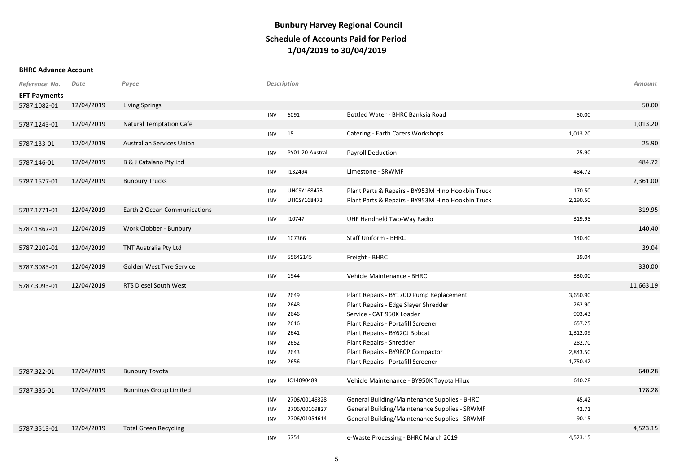## **Schedule of Accounts Paid for Period 1/04/2019 to 30/04/2019 Bunbury Harvey Regional Council**

| Reference No.       | Date       | Payee                            |            | <b>Description</b> |                                                   |          | Amount    |
|---------------------|------------|----------------------------------|------------|--------------------|---------------------------------------------------|----------|-----------|
| <b>EFT Payments</b> |            |                                  |            |                    |                                                   |          |           |
| 5787.1082-01        | 12/04/2019 | <b>Living Springs</b>            |            |                    |                                                   |          | 50.00     |
|                     |            |                                  | <b>INV</b> | 6091               | Bottled Water - BHRC Banksia Road                 | 50.00    |           |
| 5787.1243-01        | 12/04/2019 | Natural Temptation Cafe          |            |                    |                                                   |          | 1,013.20  |
|                     |            |                                  | <b>INV</b> | 15                 | Catering - Earth Carers Workshops                 | 1,013.20 |           |
| 5787.133-01         | 12/04/2019 | <b>Australian Services Union</b> |            |                    |                                                   |          | 25.90     |
|                     |            |                                  | <b>INV</b> | PY01-20-Australi   | Payroll Deduction                                 | 25.90    |           |
| 5787.146-01         | 12/04/2019 | B & J Catalano Pty Ltd           |            |                    |                                                   |          | 484.72    |
|                     |            |                                  | <b>INV</b> | 1132494            | Limestone - SRWMF                                 | 484.72   |           |
| 5787.1527-01        | 12/04/2019 | <b>Bunbury Trucks</b>            |            |                    |                                                   |          | 2,361.00  |
|                     |            |                                  | <b>INV</b> | UHCSY168473        | Plant Parts & Repairs - BY953M Hino Hookbin Truck | 170.50   |           |
|                     |            |                                  | <b>INV</b> | UHCSY168473        | Plant Parts & Repairs - BY953M Hino Hookbin Truck | 2,190.50 |           |
| 5787.1771-01        | 12/04/2019 | Earth 2 Ocean Communications     |            |                    |                                                   |          | 319.95    |
|                     |            |                                  | <b>INV</b> | 110747             | UHF Handheld Two-Way Radio                        | 319.95   |           |
| 5787.1867-01        | 12/04/2019 | Work Clobber - Bunbury           |            |                    |                                                   |          | 140.40    |
|                     |            |                                  | <b>INV</b> | 107366             | <b>Staff Uniform - BHRC</b>                       | 140.40   |           |
| 5787.2102-01        | 12/04/2019 | TNT Australia Pty Ltd            |            |                    |                                                   |          | 39.04     |
|                     |            |                                  | <b>INV</b> | 55642145           | Freight - BHRC                                    | 39.04    |           |
| 5787.3083-01        | 12/04/2019 | Golden West Tyre Service         |            |                    |                                                   |          | 330.00    |
|                     |            |                                  | <b>INV</b> | 1944               | Vehicle Maintenance - BHRC                        | 330.00   |           |
| 5787.3093-01        | 12/04/2019 | RTS Diesel South West            |            |                    |                                                   |          | 11,663.19 |
|                     |            |                                  | <b>INV</b> | 2649               | Plant Repairs - BY170D Pump Replacement           | 3,650.90 |           |
|                     |            |                                  | <b>INV</b> | 2648               | Plant Repairs - Edge Slayer Shredder              | 262.90   |           |
|                     |            |                                  | <b>INV</b> | 2646               | Service - CAT 950K Loader                         | 903.43   |           |
|                     |            |                                  | <b>INV</b> | 2616               | Plant Repairs - Portafill Screener                | 657.25   |           |
|                     |            |                                  | <b>INV</b> | 2641               | Plant Repairs - BY620J Bobcat                     | 1,312.09 |           |
|                     |            |                                  | <b>INV</b> | 2652               | Plant Repairs - Shredder                          | 282.70   |           |
|                     |            |                                  | <b>INV</b> | 2643               | Plant Repairs - BY980P Compactor                  | 2,843.50 |           |
|                     |            |                                  | <b>INV</b> | 2656               | Plant Repairs - Portafill Screener                | 1,750.42 |           |
| 5787.322-01         | 12/04/2019 | <b>Bunbury Toyota</b>            |            |                    |                                                   |          | 640.28    |
|                     |            |                                  | <b>INV</b> | JC14090489         | Vehicle Maintenance - BY950K Toyota Hilux         | 640.28   |           |
| 5787.335-01         | 12/04/2019 | <b>Bunnings Group Limited</b>    |            |                    |                                                   |          | 178.28    |
|                     |            |                                  | <b>INV</b> | 2706/00146328      | General Building/Maintenance Supplies - BHRC      | 45.42    |           |
|                     |            |                                  | <b>INV</b> | 2706/00169827      | General Building/Maintenance Supplies - SRWMF     | 42.71    |           |
|                     |            |                                  | <b>INV</b> | 2706/01054614      | General Building/Maintenance Supplies - SRWMF     | 90.15    |           |
| 5787.3513-01        | 12/04/2019 | <b>Total Green Recycling</b>     |            |                    |                                                   |          | 4,523.15  |
|                     |            |                                  | <b>INV</b> | 5754               | e-Waste Processing - BHRC March 2019              | 4,523.15 |           |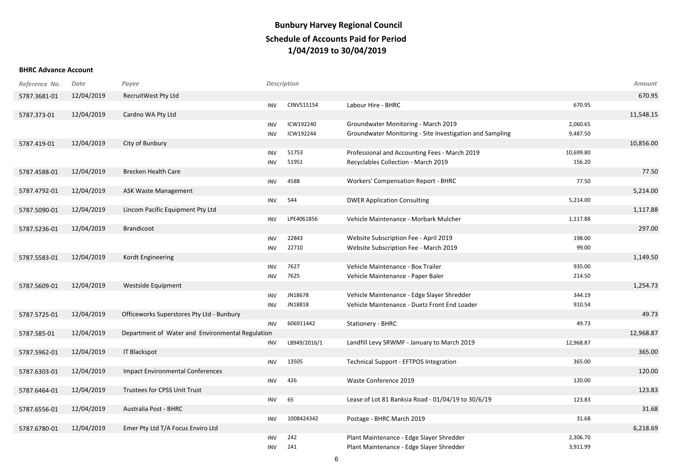| Reference No. | Date       | Payee                                            |            | Description  |                                                          |           | Amount    |
|---------------|------------|--------------------------------------------------|------------|--------------|----------------------------------------------------------|-----------|-----------|
| 5787.3681-01  | 12/04/2019 | RecruitWest Pty Ltd                              |            |              |                                                          |           | 670.95    |
|               |            |                                                  | <b>INV</b> | CINV515154   | Labour Hire - BHRC                                       | 670.95    |           |
| 5787.373-01   | 12/04/2019 | Cardno WA Pty Ltd                                |            |              |                                                          |           | 11,548.15 |
|               |            |                                                  | <b>INV</b> | ICW192240    | Groundwater Monitoring - March 2019                      | 2,060.65  |           |
|               |            |                                                  | <b>INV</b> | ICW192244    | Groundwater Monitoring - Site Investigation and Sampling | 9,487.50  |           |
| 5787.419-01   | 12/04/2019 | City of Bunbury                                  |            |              |                                                          |           | 10,856.00 |
|               |            |                                                  | INV        | 51753        | Professional and Accounting Fees - March 2019            | 10,699.80 |           |
|               |            |                                                  | <b>INV</b> | 51951        | Recyclables Collection - March 2019                      | 156.20    |           |
| 5787.4588-01  | 12/04/2019 | <b>Brecken Health Care</b>                       |            |              |                                                          |           | 77.50     |
|               |            |                                                  | <b>INV</b> | 4588         | <b>Workers' Compensation Report - BHRC</b>               | 77.50     |           |
| 5787.4792-01  | 12/04/2019 | <b>ASK Waste Management</b>                      |            |              |                                                          |           | 5,214.00  |
|               |            |                                                  | <b>INV</b> | 544          | <b>DWER Application Consulting</b>                       | 5,214.00  |           |
| 5787.5090-01  | 12/04/2019 | Lincom Pacific Equipment Pty Ltd                 |            |              |                                                          |           | 1,117.88  |
|               |            |                                                  | <b>INV</b> | LPE4061856   | Vehicle Maintenance - Morbark Mulcher                    | 1,117.88  |           |
| 5787.5236-01  | 12/04/2019 | <b>Brandicoot</b>                                |            |              |                                                          |           | 297.00    |
|               |            |                                                  | <b>INV</b> | 22843        | Website Subscription Fee - April 2019                    | 198.00    |           |
|               |            |                                                  | <b>INV</b> | 22710        | Website Subscription Fee - March 2019                    | 99.00     |           |
| 5787.5583-01  | 12/04/2019 | Kordt Engineering                                |            |              |                                                          |           | 1,149.50  |
|               |            |                                                  | <b>INV</b> | 7627         | Vehicle Maintenance - Box Trailer                        | 935.00    |           |
|               |            |                                                  | INV        | 7625         | Vehicle Maintenance - Paper Baler                        | 214.50    |           |
| 5787.5609-01  | 12/04/2019 | Westside Equipment                               |            |              |                                                          |           | 1,254.73  |
|               |            |                                                  | INV        | JN18678      | Vehicle Maintenance - Edge Slayer Shredder               | 344.19    |           |
|               |            |                                                  | INV        | JN18818      | Vehicle Maintenance - Duetz Front End Loader             | 910.54    |           |
| 5787.5725-01  | 12/04/2019 | Officeworks Superstores Pty Ltd - Bunbury        |            |              |                                                          |           | 49.73     |
|               |            |                                                  | INV        | 606911442    | Stationery - BHRC                                        | 49.73     |           |
| 5787.585-01   | 12/04/2019 | Department of Water and Environmental Regulation |            |              |                                                          |           | 12,968.87 |
|               |            |                                                  | <b>INV</b> | L8949/2016/1 | Landfill Levy SRWMF - January to March 2019              | 12,968.87 |           |
| 5787.5962-01  | 12/04/2019 | <b>IT Blackspot</b>                              |            | 13505        |                                                          | 365.00    | 365.00    |
|               |            |                                                  | <b>INV</b> |              | <b>Technical Support - EFTPOS Integration</b>            |           | 120.00    |
| 5787.6303-01  | 12/04/2019 | <b>Impact Environmental Conferences</b>          | <b>INV</b> | 426          | Waste Conference 2019                                    | 120.00    |           |
| 5787.6464-01  | 12/04/2019 | Trustees for CPSS Unit Trust                     |            |              |                                                          |           | 123.83    |
|               |            |                                                  | <b>INV</b> | 65           | Lease of Lot 81 Banksia Road - 01/04/19 to 30/6/19       | 123.83    |           |
| 5787.6556-01  | 12/04/2019 | Australia Post - BHRC                            |            |              |                                                          |           | 31.68     |
|               |            |                                                  | <b>INV</b> | 1008424342   | Postage - BHRC March 2019                                | 31.68     |           |
| 5787.6780-01  | 12/04/2019 | Emer Pty Ltd T/A Focus Enviro Ltd                |            |              |                                                          |           | 6,218.69  |
|               |            |                                                  | <b>INV</b> | 242          | Plant Maintenance - Edge Slayer Shredder                 | 2,306.70  |           |
|               |            |                                                  | <b>INV</b> | 241          | Plant Maintenance - Edge Slayer Shredder                 | 3,911.99  |           |
|               |            |                                                  |            |              |                                                          |           |           |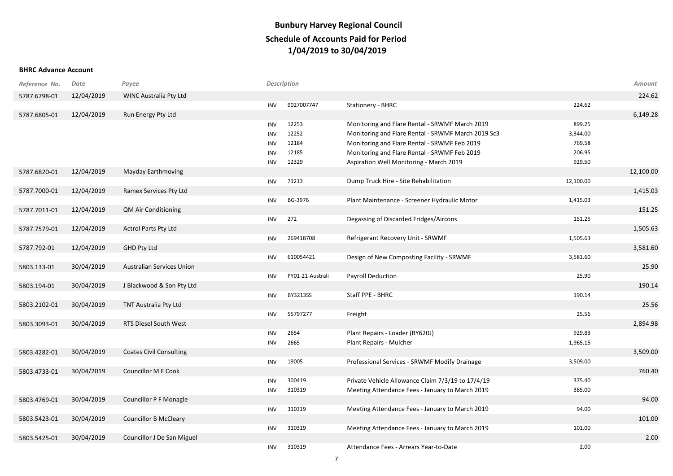| Reference No. | Date       | Payee                            |            | <b>Description</b> |                                                    |           | Amount    |
|---------------|------------|----------------------------------|------------|--------------------|----------------------------------------------------|-----------|-----------|
| 5787.6798-01  | 12/04/2019 | WINC Australia Pty Ltd           |            |                    |                                                    |           | 224.62    |
|               |            |                                  | <b>INV</b> | 9027007747         | Stationery - BHRC                                  | 224.62    |           |
| 5787.6805-01  | 12/04/2019 | Run Energy Pty Ltd               |            |                    |                                                    |           | 6,149.28  |
|               |            |                                  | <b>INV</b> | 12253              | Monitoring and Flare Rental - SRWMF March 2019     | 899.25    |           |
|               |            |                                  | <b>INV</b> | 12252              | Monitoring and Flare Rental - SRWMF March 2019 Sc3 | 3,344.00  |           |
|               |            |                                  | <b>INV</b> | 12184              | Monitoring and Flare Rental - SRWMF Feb 2019       | 769.58    |           |
|               |            |                                  | <b>INV</b> | 12185              | Monitoring and Flare Rental - SRWMF Feb 2019       | 206.95    |           |
|               |            |                                  | <b>INV</b> | 12329              | Aspiration Well Monitoring - March 2019            | 929.50    |           |
| 5787.6820-01  | 12/04/2019 | Mayday Earthmoving               |            |                    |                                                    |           | 12,100.00 |
|               |            |                                  | <b>INV</b> | 71213              | Dump Truck Hire - Site Rehabilitation              | 12,100.00 |           |
| 5787.7000-01  | 12/04/2019 | Ramex Services Pty Ltd           |            |                    |                                                    |           | 1,415.03  |
|               |            |                                  | <b>INV</b> | BG-3976            | Plant Maintenance - Screener Hydraulic Motor       | 1,415.03  |           |
| 5787.7011-01  | 12/04/2019 | QM Air Conditioning              |            |                    |                                                    |           | 151.25    |
|               |            |                                  | <b>INV</b> | 272                | Degassing of Discarded Fridges/Aircons             | 151.25    |           |
| 5787.7579-01  | 12/04/2019 | Actrol Parts Pty Ltd             |            |                    |                                                    |           | 1,505.63  |
|               |            |                                  | <b>INV</b> | 269418708          | Refrigerant Recovery Unit - SRWMF                  | 1,505.63  |           |
| 5787.792-01   | 12/04/2019 | GHD Pty Ltd                      |            |                    |                                                    |           | 3,581.60  |
|               |            |                                  | <b>INV</b> | 610054421          | Design of New Composting Facility - SRWMF          | 3,581.60  |           |
| 5803.133-01   | 30/04/2019 | <b>Australian Services Union</b> |            | PY01-21-Australi   |                                                    | 25.90     | 25.90     |
|               | 30/04/2019 |                                  | <b>INV</b> |                    | Payroll Deduction                                  |           | 190.14    |
| 5803.194-01   |            | J Blackwood & Son Pty Ltd        | <b>INV</b> | BY3213SS           | Staff PPE - BHRC                                   | 190.14    |           |
| 5803.2102-01  | 30/04/2019 | <b>TNT Australia Pty Ltd</b>     |            |                    |                                                    |           | 25.56     |
|               |            |                                  | <b>INV</b> | 55797277           | Freight                                            | 25.56     |           |
| 5803.3093-01  | 30/04/2019 | RTS Diesel South West            |            |                    |                                                    |           | 2,894.98  |
|               |            |                                  | <b>INV</b> | 2654               | Plant Repairs - Loader (BY620J)                    | 929.83    |           |
|               |            |                                  | <b>INV</b> | 2665               | Plant Repairs - Mulcher                            | 1,965.15  |           |
| 5803.4282-01  | 30/04/2019 | <b>Coates Civil Consulting</b>   |            |                    |                                                    |           | 3,509.00  |
|               |            |                                  | <b>INV</b> | 19005              | Professional Services - SRWMF Modify Drainage      | 3,509.00  |           |
| 5803.4733-01  | 30/04/2019 | <b>Councillor M F Cook</b>       |            |                    |                                                    |           | 760.40    |
|               |            |                                  | <b>INV</b> | 300419             | Private Vehicle Allowance Claim 7/3/19 to 17/4/19  | 375.40    |           |
|               |            |                                  | <b>INV</b> | 310319             | Meeting Attendance Fees - January to March 2019    | 385.00    |           |
| 5803.4769-01  | 30/04/2019 | Councillor P F Monagle           |            |                    |                                                    |           | 94.00     |
|               |            |                                  | <b>INV</b> | 310319             | Meeting Attendance Fees - January to March 2019    | 94.00     |           |
| 5803.5423-01  | 30/04/2019 | <b>Councillor B McCleary</b>     |            |                    |                                                    |           | 101.00    |
|               |            |                                  | <b>INV</b> | 310319             | Meeting Attendance Fees - January to March 2019    | 101.00    |           |
| 5803.5425-01  | 30/04/2019 | Councillor J De San Miguel       |            |                    |                                                    |           | 2.00      |
|               |            |                                  | <b>INV</b> | 310319             | Attendance Fees - Arrears Year-to-Date             | 2.00      |           |